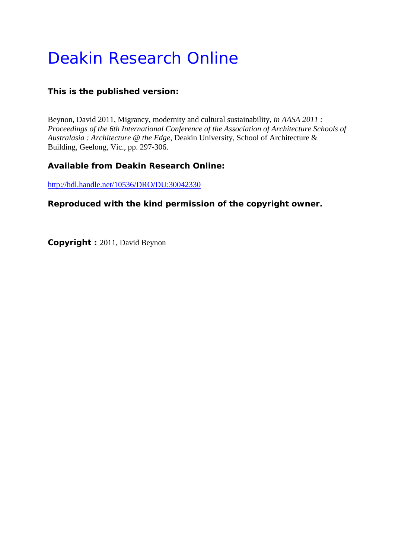# Deakin Research Online

# **This is the published version:**

Beynon, David 2011, Migrancy, modernity and cultural sustainability*, in AASA 2011 : Proceedings of the 6th International Conference of the Association of Architecture Schools of Australasia : Architecture @ the Edge*, Deakin University, School of Architecture & Building, Geelong, Vic., pp. 297-306.

# **Available from Deakin Research Online:**

http://hdl.handle.net/10536/DRO/DU:30042330

## **Reproduced with the kind permission of the copyright owner.**

**Copyright :** 2011, David Beynon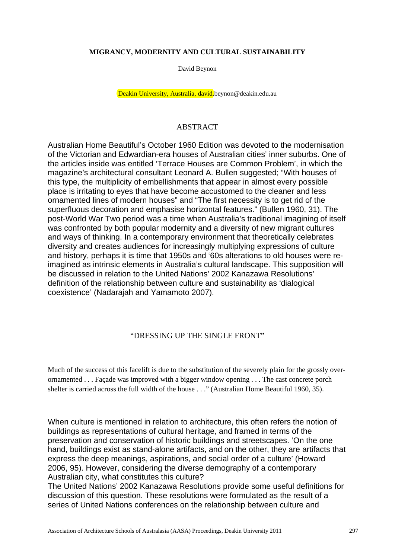#### **MIGRANCY, MODERNITY AND CULTURAL SUSTAINABILITY**

David Beynon

Deakin University, Australia, david.beynon@deakin.edu.au

## ABSTRACT

Australian Home Beautiful's October 1960 Edition was devoted to the modernisation of the Victorian and Edwardian-era houses of Australian cities' inner suburbs. One of the articles inside was entitled 'Terrace Houses are Common Problem', in which the magazine's architectural consultant Leonard A. Bullen suggested; "With houses of this type, the multiplicity of embellishments that appear in almost every possible place is irritating to eyes that have become accustomed to the cleaner and less ornamented lines of modern houses" and "The first necessity is to get rid of the superfluous decoration and emphasise horizontal features." (Bullen 1960, 31). The post-World War Two period was a time when Australia's traditional imagining of itself was confronted by both popular modernity and a diversity of new migrant cultures and ways of thinking. In a contemporary environment that theoretically celebrates diversity and creates audiences for increasingly multiplying expressions of culture and history, perhaps it is time that 1950s and '60s alterations to old houses were reimagined as intrinsic elements in Australia's cultural landscape. This supposition will be discussed in relation to the United Nations' 2002 Kanazawa Resolutions' definition of the relationship between culture and sustainability as 'dialogical coexistence' (Nadarajah and Yamamoto 2007).

## "DRESSING UP THE SINGLE FRONT"

Much of the success of this facelift is due to the substitution of the severely plain for the grossly overornamented . . . Façade was improved with a bigger window opening . . . The cast concrete porch shelter is carried across the full width of the house . . ." (Australian Home Beautiful 1960, 35).

When culture is mentioned in relation to architecture, this often refers the notion of buildings as representations of cultural heritage, and framed in terms of the preservation and conservation of historic buildings and streetscapes. 'On the one hand, buildings exist as stand-alone artifacts, and on the other, they are artifacts that express the deep meanings, aspirations, and social order of a culture' (Howard 2006, 95). However, considering the diverse demography of a contemporary Australian city, what constitutes this culture?

The United Nations' 2002 Kanazawa Resolutions provide some useful definitions for discussion of this question. These resolutions were formulated as the result of a series of United Nations conferences on the relationship between culture and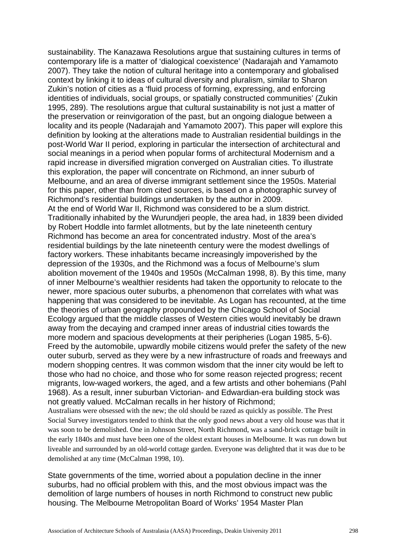sustainability. The Kanazawa Resolutions argue that sustaining cultures in terms of contemporary life is a matter of 'dialogical coexistence' (Nadarajah and Yamamoto 2007). They take the notion of cultural heritage into a contemporary and globalised context by linking it to ideas of cultural diversity and pluralism, similar to Sharon Zukin's notion of cities as a 'fluid process of forming, expressing, and enforcing identities of individuals, social groups, or spatially constructed communities' (Zukin 1995, 289). The resolutions argue that cultural sustainability is not just a matter of the preservation or reinvigoration of the past, but an ongoing dialogue between a locality and its people (Nadarajah and Yamamoto 2007). This paper will explore this definition by looking at the alterations made to Australian residential buildings in the post-World War II period, exploring in particular the intersection of architectural and social meanings in a period when popular forms of architectural Modernism and a rapid increase in diversified migration converged on Australian cities. To illustrate this exploration, the paper will concentrate on Richmond, an inner suburb of Melbourne, and an area of diverse immigrant settlement since the 1950s. Material for this paper, other than from cited sources, is based on a photographic survey of Richmond's residential buildings undertaken by the author in 2009. At the end of World War II, Richmond was considered to be a slum district. Traditionally inhabited by the Wurundjeri people, the area had, in 1839 been divided by Robert Hoddle into farmlet allotments, but by the late nineteenth century Richmond has become an area for concentrated industry. Most of the area's residential buildings by the late nineteenth century were the modest dwellings of factory workers. These inhabitants became increasingly impoverished by the depression of the 1930s, and the Richmond was a focus of Melbourne's slum abolition movement of the 1940s and 1950s (McCalman 1998, 8). By this time, many of inner Melbourne's wealthier residents had taken the opportunity to relocate to the newer, more spacious outer suburbs, a phenomenon that correlates with what was happening that was considered to be inevitable. As Logan has recounted, at the time the theories of urban geography propounded by the Chicago School of Social Ecology argued that the middle classes of Western cities would inevitably be drawn away from the decaying and cramped inner areas of industrial cities towards the more modern and spacious developments at their peripheries (Logan 1985, 5-6). Freed by the automobile, upwardly mobile citizens would prefer the safety of the new outer suburb, served as they were by a new infrastructure of roads and freeways and modern shopping centres. It was common wisdom that the inner city would be left to those who had no choice, and those who for some reason rejected progress; recent migrants, low-waged workers, the aged, and a few artists and other bohemians (Pahl 1968). As a result, inner suburban Victorian- and Edwardian-era building stock was not greatly valued. McCalman recalls in her history of Richmond;

Australians were obsessed with the new; the old should be razed as quickly as possible. The Prest Social Survey investigators tended to think that the only good news about a very old house was that it was soon to be demolished. One in Johnson Street, North Richmond, was a sand-brick cottage built in the early 1840s and must have been one of the oldest extant houses in Melbourne. It was run down but liveable and surrounded by an old-world cottage garden. Everyone was delighted that it was due to be demolished at any time (McCalman 1998, 10).

State governments of the time, worried about a population decline in the inner suburbs, had no official problem with this, and the most obvious impact was the demolition of large numbers of houses in north Richmond to construct new public housing. The Melbourne Metropolitan Board of Works' 1954 Master Plan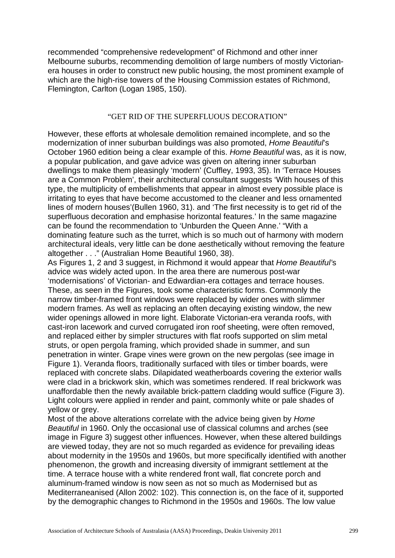recommended "comprehensive redevelopment" of Richmond and other inner Melbourne suburbs, recommending demolition of large numbers of mostly Victorianera houses in order to construct new public housing, the most prominent example of which are the high-rise towers of the Housing Commission estates of Richmond, Flemington, Carlton (Logan 1985, 150).

#### "GET RID OF THE SUPERFLUOUS DECORATION"

However, these efforts at wholesale demolition remained incomplete, and so the modernization of inner suburban buildings was also promoted, *Home Beautiful*'s October 1960 edition being a clear example of this. *Home Beautiful* was, as it is now, a popular publication, and gave advice was given on altering inner suburban dwellings to make them pleasingly 'modern' (Cuffley, 1993, 35). In 'Terrace Houses are a Common Problem', their architectural consultant suggests 'With houses of this type, the multiplicity of embellishments that appear in almost every possible place is irritating to eyes that have become accustomed to the cleaner and less ornamented lines of modern houses'(Bullen 1960, 31). and 'The first necessity is to get rid of the superfluous decoration and emphasise horizontal features.' In the same magazine can be found the recommendation to 'Unburden the Queen Anne.' "With a dominating feature such as the turret, which is so much out of harmony with modern architectural ideals, very little can be done aesthetically without removing the feature altogether . . ." (Australian Home Beautiful 1960, 38).

As Figures 1, 2 and 3 suggest, in Richmond it would appear that *Home Beautiful'*s advice was widely acted upon. In the area there are numerous post-war 'modernisations' of Victorian- and Edwardian-era cottages and terrace houses. These, as seen in the Figures, took some characteristic forms. Commonly the narrow timber-framed front windows were replaced by wider ones with slimmer modern frames. As well as replacing an often decaying existing window, the new wider openings allowed in more light. Elaborate Victorian-era veranda roofs, with cast-iron lacework and curved corrugated iron roof sheeting, were often removed, and replaced either by simpler structures with flat roofs supported on slim metal struts, or open pergola framing, which provided shade in summer, and sun penetration in winter. Grape vines were grown on the new pergolas (see image in Figure 1). Veranda floors, traditionally surfaced with tiles or timber boards, were replaced with concrete slabs. Dilapidated weatherboards covering the exterior walls were clad in a brickwork skin, which was sometimes rendered. If real brickwork was unaffordable then the newly available brick-pattern cladding would suffice (Figure 3). Light colours were applied in render and paint, commonly white or pale shades of yellow or grey.

Most of the above alterations correlate with the advice being given by *Home Beautiful* in 1960. Only the occasional use of classical columns and arches (see image in Figure 3) suggest other influences. However, when these altered buildings are viewed today, they are not so much regarded as evidence for prevailing ideas about modernity in the 1950s and 1960s, but more specifically identified with another phenomenon, the growth and increasing diversity of immigrant settlement at the time. A terrace house with a white rendered front wall, flat concrete porch and aluminum-framed window is now seen as not so much as Modernised but as Mediterraneanised (Allon 2002: 102). This connection is, on the face of it, supported by the demographic changes to Richmond in the 1950s and 1960s. The low value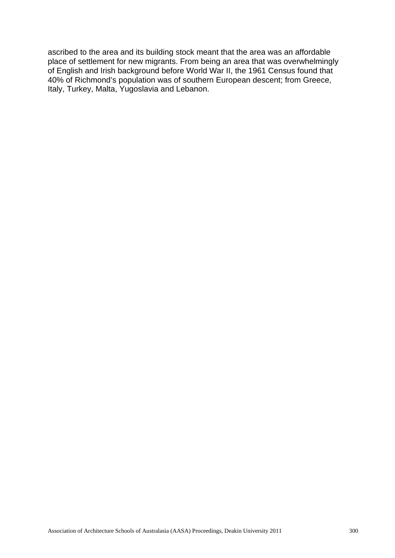ascribed to the area and its building stock meant that the area was an affordable place of settlement for new migrants. From being an area that was overwhelmingly of English and Irish background before World War II, the 1961 Census found that 40% of Richmond's population was of southern European descent; from Greece, Italy, Turkey, Malta, Yugoslavia and Lebanon.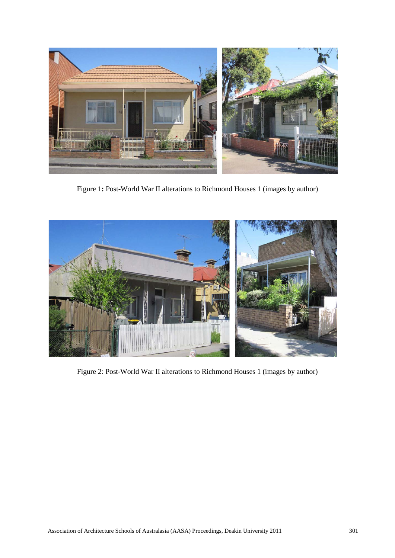

Figure 1**:** Post-World War II alterations to Richmond Houses 1 (images by author)



Figure 2: Post-World War II alterations to Richmond Houses 1 (images by author)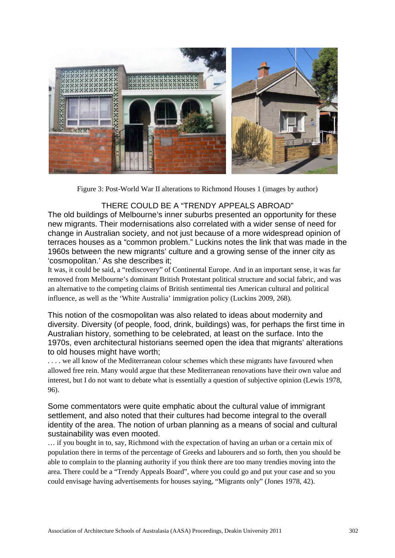

Figure 3: Post-World War II alterations to Richmond Houses 1 (images by author)

## THERE COULD BE A "TRENDY APPEALS ABROAD"

The old buildings of Melbourne's inner suburbs presented an opportunity for these new migrants. Their modernisations also correlated with a wider sense of need for change in Australian society, and not just because of a more widespread opinion of terraces houses as a "common problem." Luckins notes the link that was made in the 1960s between the new migrants' culture and a growing sense of the inner city as 'cosmopolitan.' As she describes it;

It was, it could be said, a "rediscovery" of Continental Europe. And in an important sense, it was far removed from Melbourne's dominant British Protestant political structure and social fabric, and was an alternative to the competing claims of British sentimental ties American cultural and political influence, as well as the 'White Australia' immigration policy (Luckins 2009, 268).

This notion of the cosmopolitan was also related to ideas about modernity and diversity. Diversity (of people, food, drink, buildings) was, for perhaps the first time in Australian history, something to be celebrated, at least on the surface. Into the 1970s, even architectural historians seemed open the idea that migrants' alterations to old houses might have worth;

. . . . we all know of the Mediterranean colour schemes which these migrants have favoured when allowed free rein. Many would argue that these Mediterranean renovations have their own value and interest, but I do not want to debate what is essentially a question of subjective opinion (Lewis 1978, 96).

Some commentators were quite emphatic about the cultural value of immigrant settlement, and also noted that their cultures had become integral to the overall identity of the area. The notion of urban planning as a means of social and cultural sustainability was even mooted.

… if you bought in to, say, Richmond with the expectation of having an urban or a certain mix of population there in terms of the percentage of Greeks and labourers and so forth, then you should be able to complain to the planning authority if you think there are too many trendies moving into the area. There could be a "Trendy Appeals Board", where you could go and put your case and so you could envisage having advertisements for houses saying, "Migrants only" (Jones 1978, 42).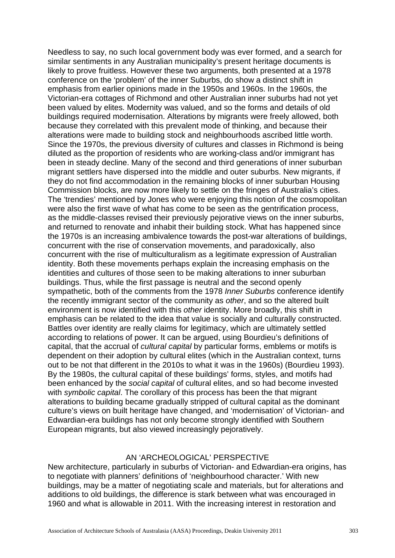Needless to say, no such local government body was ever formed, and a search for similar sentiments in any Australian municipality's present heritage documents is likely to prove fruitless. However these two arguments, both presented at a 1978 conference on the 'problem' of the inner Suburbs, do show a distinct shift in emphasis from earlier opinions made in the 1950s and 1960s. In the 1960s, the Victorian-era cottages of Richmond and other Australian inner suburbs had not yet been valued by elites. Modernity was valued, and so the forms and details of old buildings required modernisation. Alterations by migrants were freely allowed, both because they correlated with this prevalent mode of thinking, and because their alterations were made to building stock and neighbourhoods ascribed little worth. Since the 1970s, the previous diversity of cultures and classes in Richmond is being diluted as the proportion of residents who are working-class and/or immigrant has been in steady decline. Many of the second and third generations of inner suburban migrant settlers have dispersed into the middle and outer suburbs. New migrants, if they do not find accommodation in the remaining blocks of inner suburban Housing Commission blocks, are now more likely to settle on the fringes of Australia's cities. The 'trendies' mentioned by Jones who were enjoying this notion of the cosmopolitan were also the first wave of what has come to be seen as the gentrification process, as the middle-classes revised their previously pejorative views on the inner suburbs, and returned to renovate and inhabit their building stock. What has happened since the 1970s is an increasing ambivalence towards the post-war alterations of buildings, concurrent with the rise of conservation movements, and paradoxically, also concurrent with the rise of multiculturalism as a legitimate expression of Australian identity. Both these movements perhaps explain the increasing emphasis on the identities and cultures of those seen to be making alterations to inner suburban buildings. Thus, while the first passage is neutral and the second openly sympathetic, both of the comments from the 1978 *Inner Suburbs* conference identify the recently immigrant sector of the community as *other*, and so the altered built environment is now identified with this *other* identity. More broadly, this shift in emphasis can be related to the idea that value is socially and culturally constructed. Battles over identity are really claims for legitimacy, which are ultimately settled according to relations of power. It can be argued, using Bourdieu's definitions of capital, that the accrual of *cultural capital* by particular forms, emblems or motifs is dependent on their adoption by cultural elites (which in the Australian context, turns out to be not that different in the 2010s to what it was in the 1960s) (Bourdieu 1993). By the 1980s, the cultural capital of these buildings' forms, styles, and motifs had been enhanced by the *social capital* of cultural elites, and so had become invested with *symbolic capital*. The corollary of this process has been the that migrant alterations to building became gradually stripped of cultural capital as the dominant culture's views on built heritage have changed, and 'modernisation' of Victorian- and Edwardian-era buildings has not only become strongly identified with Southern European migrants, but also viewed increasingly pejoratively.

## AN 'ARCHEOLOGICAL' PERSPECTIVE

New architecture, particularly in suburbs of Victorian- and Edwardian-era origins, has to negotiate with planners' definitions of 'neighbourhood character.' With new buildings, may be a matter of negotiating scale and materials, but for alterations and additions to old buildings, the difference is stark between what was encouraged in 1960 and what is allowable in 2011. With the increasing interest in restoration and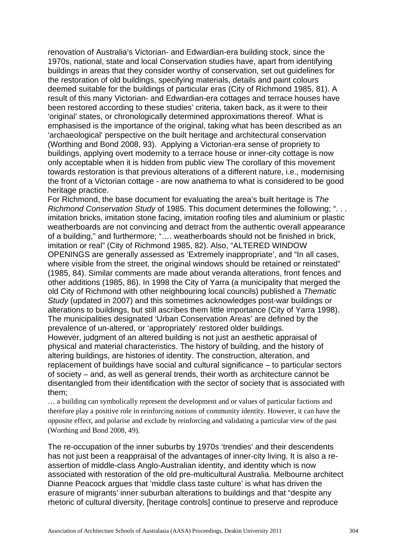renovation of Australia's Victorian- and Edwardian-era building stock, since the 1970s, national, state and local Conservation studies have, apart from identifying buildings in areas that they consider worthy of conservation, set out guidelines for the restoration of old buildings, specifying materials, details and paint colours deemed suitable for the buildings of particular eras (City of Richmond 1985, 81). A result of this many Victorian- and Edwardian-era cottages and terrace houses have been restored according to these studies' criteria, taken back, as it were to their 'original' states, or chronologically determined approximations thereof. What is emphasised is the importance of the original, taking what has been described as an 'archaeological' perspective on the built heritage and architectural conservation (Worthing and Bond 2008, 93). Applying a Victorian-era sense of propriety to buildings, applying overt modernity to a terrace house or inner-city cottage is now only acceptable when it is hidden from public view The corollary of this movement towards restoration is that previous alterations of a different nature, i.e., modernising the front of a Victorian cottage - are now anathema to what is considered to be good heritage practice.

For Richmond, the base document for evaluating the area's built heritage is *The Richmond Conservation Study* of 1985. This document determines the following; ". . . imitation bricks, imitation stone facing, imitation roofing tiles and aluminium or plastic weatherboards are not convincing and detract from the authentic overall appearance of a building," and furthermore; "…. weatherboards should not be finished in brick, imitation or real" (City of Richmond 1985, 82). Also, "ALTERED WINDOW OPENINGS are generally assessed as 'Extremely inappropriate', and "In all cases, where visible from the street, the original windows should be retained or reinstated" (1985, 84). Similar comments are made about veranda alterations, front fences and other additions (1985, 86). In 1998 the City of Yarra (a municipality that merged the old City of Richmond with other neighbouring local councils) published a *Thematic Study* (updated in 2007) and this sometimes acknowledges post-war buildings or alterations to buildings, but still ascribes them little importance (City of Yarra 1998). The municipalities designated 'Urban Conservation Areas' are defined by the prevalence of un-altered, or 'appropriately' restored older buildings.

However, judgment of an altered building is not just an aesthetic appraisal of physical and material characteristics. The history of building, and the history of altering buildings, are histories of identity. The construction, alteration, and replacement of buildings have social and cultural significance – to particular sectors of society – and, as well as general trends, their worth as architecture cannot be disentangled from their identification with the sector of society that is associated with them;

… a building can symbolically represent the development and or values of particular factions and therefore play a positive role in reinforcing notions of community identity. However, it can have the opposite effect, and polarise and exclude by reinforcing and validating a particular view of the past (Worthing and Bond 2008, 49).

The re-occupation of the inner suburbs by 1970s 'trendies' and their descendents has not just been a reappraisal of the advantages of inner-city living. It is also a reassertion of middle-class Anglo-Australian identity, and identity which is now associated with restoration of the old pre-multicultural Australia. Melbourne architect Dianne Peacock argues that 'middle class taste culture' is what has driven the erasure of migrants' inner suburban alterations to buildings and that "despite any rhetoric of cultural diversity, [heritage controls] continue to preserve and reproduce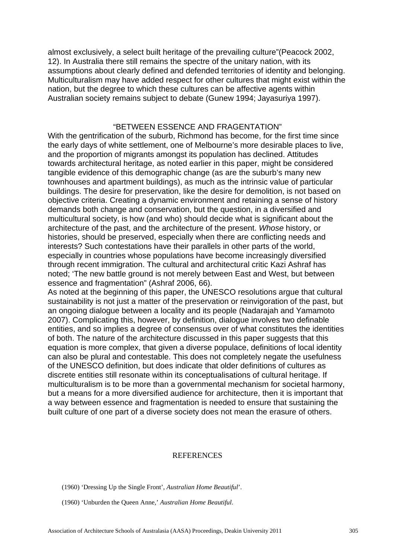almost exclusively, a select built heritage of the prevailing culture"(Peacock 2002, 12). In Australia there still remains the spectre of the unitary nation, with its assumptions about clearly defined and defended territories of identity and belonging. Multiculturalism may have added respect for other cultures that might exist within the nation, but the degree to which these cultures can be affective agents within Australian society remains subject to debate (Gunew 1994; Jayasuriya 1997).

## "BETWEEN ESSENCE AND FRAGENTATION"

With the gentrification of the suburb, Richmond has become, for the first time since the early days of white settlement, one of Melbourne's more desirable places to live, and the proportion of migrants amongst its population has declined. Attitudes towards architectural heritage, as noted earlier in this paper, might be considered tangible evidence of this demographic change (as are the suburb's many new townhouses and apartment buildings), as much as the intrinsic value of particular buildings. The desire for preservation, like the desire for demolition, is not based on objective criteria. Creating a dynamic environment and retaining a sense of history demands both change and conservation, but the question, in a diversified and multicultural society, is how (and who) should decide what is significant about the architecture of the past, and the architecture of the present. *Whose* history, or histories, should be preserved, especially when there are conflicting needs and interests? Such contestations have their parallels in other parts of the world, especially in countries whose populations have become increasingly diversified through recent immigration. The cultural and architectural critic Kazi Ashraf has noted; 'The new battle ground is not merely between East and West, but between essence and fragmentation" (Ashraf 2006, 66).

As noted at the beginning of this paper, the UNESCO resolutions argue that cultural sustainability is not just a matter of the preservation or reinvigoration of the past, but an ongoing dialogue between a locality and its people (Nadarajah and Yamamoto 2007). Complicating this, however, by definition, dialogue involves two definable entities, and so implies a degree of consensus over of what constitutes the identities of both. The nature of the architecture discussed in this paper suggests that this equation is more complex, that given a diverse populace, definitions of local identity can also be plural and contestable. This does not completely negate the usefulness of the UNESCO definition, but does indicate that older definitions of cultures as discrete entities still resonate within its conceptualisations of cultural heritage. If multiculturalism is to be more than a governmental mechanism for societal harmony, but a means for a more diversified audience for architecture, then it is important that a way between essence and fragmentation is needed to ensure that sustaining the built culture of one part of a diverse society does not mean the erasure of others.

#### **REFERENCES**

(1960) 'Dressing Up the Single Front', *Australian Home Beautiful*'.

(1960) 'Unburden the Queen Anne,' *Australian Home Beautiful*.